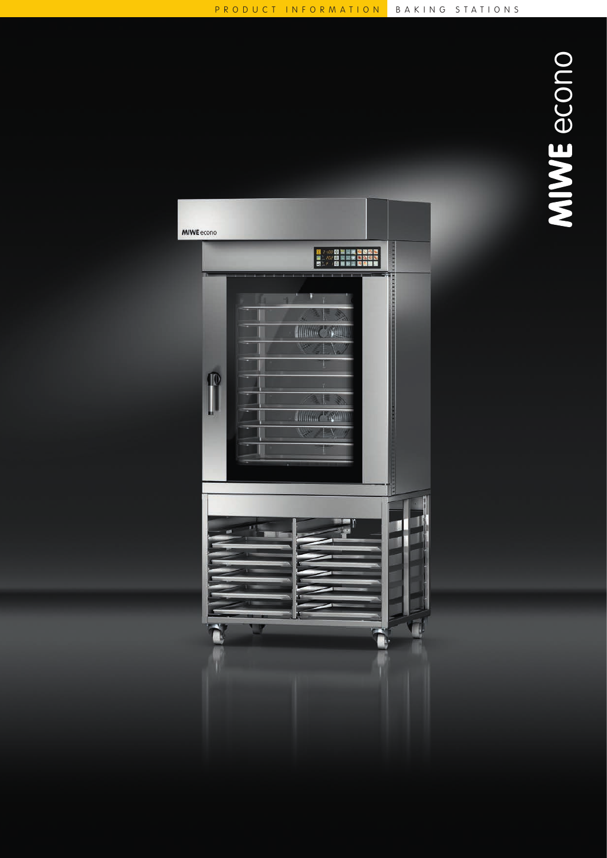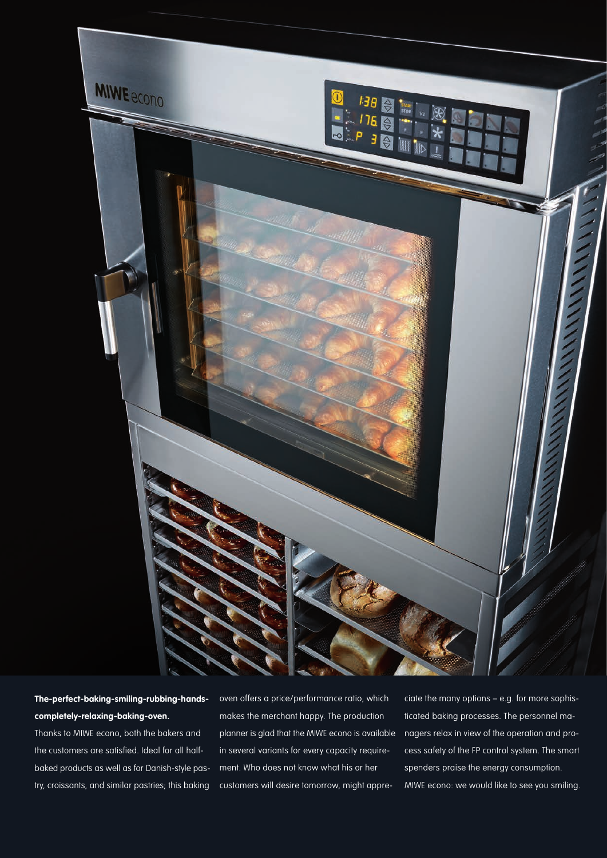

**The-perfect-baking-smiling-rubbing-handscompletely-relaxing-baking-oven.**

Thanks to MIWE econo, both the bakers and the customers are satisfied. Ideal for all halfbaked products as well as for Danish-style pastry, croissants, and similar pastries; this baking oven offers a price/performance ratio, which makes the merchant happy. The production planner is glad that the MIWE econo is available in several variants for every capacity requirement. Who does not know what his or her customers will desire tomorrow, might appre-

ciate the many options – e.g. for more sophisticated baking processes. The personnel managers relax in view of the operation and process safety of the FP control system. The smart spenders praise the energy consumption. MIWE econo: we would like to see you smiling.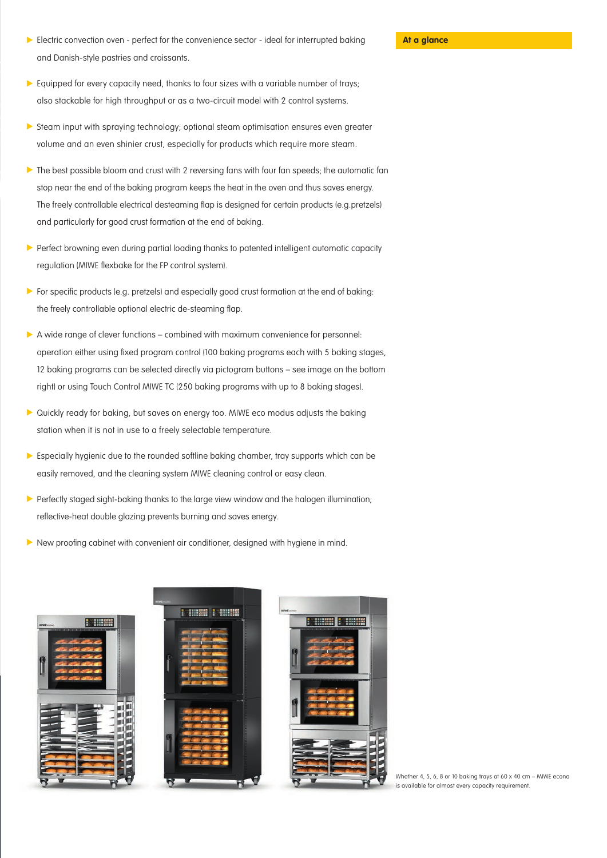- **At a glance** Cenvection oven perfect for the convenience sector ideal for interrupted baking **At a glance** and Danish-style pastries and croissants.
- Equipped for every capacity need, thanks to four sizes with a variable number of trays; also stackable for high throughput or as a two-circuit model with 2 control systems.
- Steam input with spraying technology; optional steam optimisation ensures even greater volume and an even shinier crust, especially for products which require more steam.
- The best possible bloom and crust with 2 reversing fans with four fan speeds; the automatic fan stop near the end of the baking program keeps the heat in the oven and thus saves energy. The freely controllable electrical desteaming flap is designed for certain products (e.g.pretzels) and particularly for good crust formation at the end of baking.
- **Perfect browning even during partial loading thanks to patented intelligent automatic capacity** regulation (MIWE flexbake for the FP control system).
- For specific products (e.g. pretzels) and especially good crust formation at the end of baking: the freely controllable optional electric de-steaming flap.
- $\triangleright$  A wide range of clever functions combined with maximum convenience for personnel: operation either using fixed program control (100 baking programs each with 5 baking stages, 12 baking programs can be selected directly via pictogram buttons – see image on the bottom right) or using Touch Control MIWE TC (250 baking programs with up to 8 baking stages).
- Quickly ready for baking, but saves on energy too. MIWE eco modus adjusts the baking station when it is not in use to a freely selectable temperature.
- **Especially hygienic due to the rounded softline baking chamber, tray supports which can be** easily removed, and the cleaning system MIWE cleaning control or easy clean.
- Perfectly staged sight-baking thanks to the large view window and the halogen illumination; reflective-heat double glazing prevents burning and saves energy.
- New proofing cabinet with convenient air conditioner, designed with hygiene in mind.



Whether 4, 5, 6, 8 or 10 baking trays at 60 x 40 cm – MIWE econo is available for almost every capacity requirement